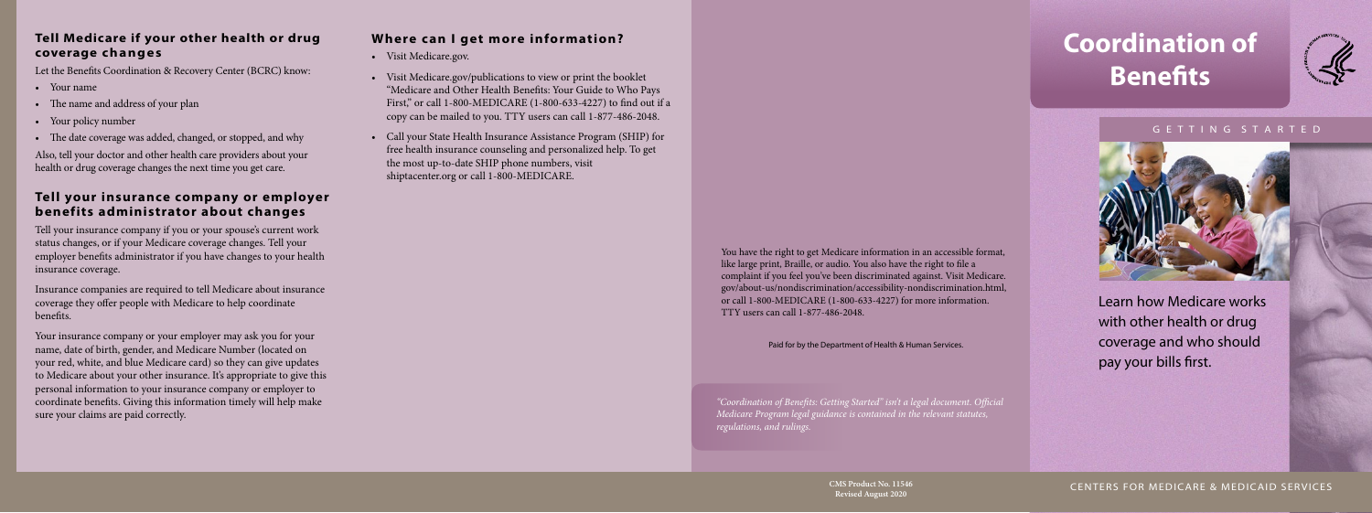# **Coordination of Benefits**



#### G E T T I N G S T A R T E D



Learn how Medicare works with other health or drug coverage and who should pay your bills first.

#### **Tell Medicare if your other health or drug coverage changes**

Let the Benefits Coordination & Recovery Center (BCRC) know:

- Your name
- The name and address of your plan
- Your policy number
- The date coverage was added, changed, or stopped, and why

Also, tell your doctor and other health care providers about your health or drug coverage changes the next time you get care.

### **Tell your insurance company or employer benefits administrator about changes**

Tell your insurance company if you or your spouse's current work status changes, or if your Medicare coverage changes. Tell your employer benefits administrator if you have changes to your health insurance coverage.

Insurance companies are required to tell Medicare about insurance coverage they offer people with Medicare to help coordinate benefits.

Your insurance company or your employer may ask you for your name, date of birth, gender, and Medicare Number (located on your red, white, and blue Medicare card) so they can give updates to Medicare about your other insurance. It's appropriate to give this personal information to your insurance company or employer to coordinate benefits. Giving this information timely will help make sure your claims are paid correctly.

## **Where can I get more information?**

- Visit [Medicare.gov](http://Medicare.gov).
- Visit [Medicare.gov/publications](http://www.Medicare.gov/publications) to view or print the booklet "Medicare and Other Health Benefits: Your Guide to Who Pays First," or call 1-800-MEDICARE (1-800-633-4227) to find out if a copy can be mailed to you. TTY users can call 1-877-486-2048.
- Call your State Health Insurance Assistance Program (SHIP) for free health insurance counseling and personalized help. To get the most up-to-date SHIP phone numbers, visit [shiptacenter.org](http://shiptacenter.org) or call 1-800-MEDICARE.

**Revised August 2020**

CMS Product No. 11546 **CENTERS FOR MEDICARE & MEDICAID SERVICES** 

*"Coordination of Benefits: Getting Started" isn't a legal document. Official Medicare Program legal guidance is contained in the relevant statutes, regulations, and rulings.*

You have the right to get Medicare information in an accessible format, like large print, Braille, or audio. You also have the right to file a complaint if you feel you've been discriminated against. Visit [Medicare.](http://Medicare.gov/about-us/nondiscrimination/accessibility-nondiscrimination.html) [gov/about-us/nondiscrimination/accessibility-nondiscrimination.html,](http://Medicare.gov/about-us/nondiscrimination/accessibility-nondiscrimination.html) or call 1-800-MEDICARE (1-800-633-4227) for more information. TTY users can call 1-877-486-2048.

Paid for by the Department of Health & Human Services.